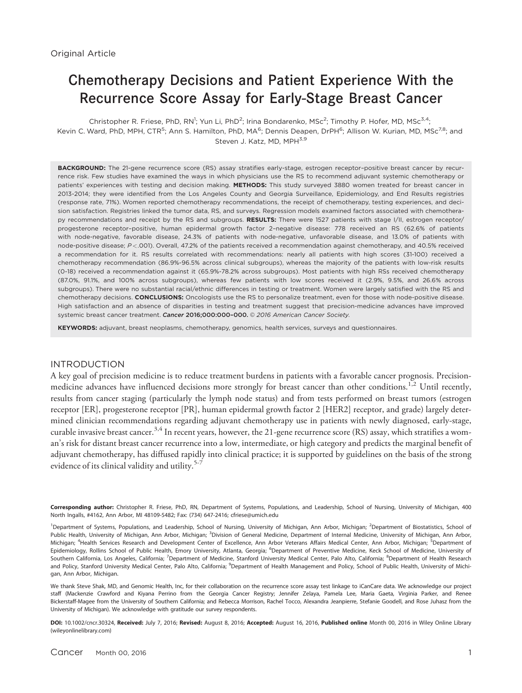# Chemotherapy Decisions and Patient Experience With the Recurrence Score Assay for Early-Stage Breast Cancer

Christopher R. Friese, PhD, RN<sup>1</sup>; Yun Li, PhD<sup>2</sup>; Irina Bondarenko, MSc<sup>2</sup>; Timothy P. Hofer, MD, MSc<sup>3,4</sup>; Kevin C. Ward, PhD, MPH, CTR<sup>5</sup>; Ann S. Hamilton, PhD, MA<sup>6</sup>; Dennis Deapen, DrPH<sup>6</sup>; Allison W. Kurian, MD, MSc<sup>78</sup>; and Steven J. Katz, MD, MPH<sup>3,9</sup>

BACKGROUND: The 21-gene recurrence score (RS) assay stratifies early-stage, estrogen receptor-positive breast cancer by recurrence risk. Few studies have examined the ways in which physicians use the RS to recommend adjuvant systemic chemotherapy or patients' experiences with testing and decision making. METHODS: This study surveyed 3880 women treated for breast cancer in 2013-2014; they were identified from the Los Angeles County and Georgia Surveillance, Epidemiology, and End Results registries (response rate, 71%). Women reported chemotherapy recommendations, the receipt of chemotherapy, testing experiences, and decision satisfaction. Registries linked the tumor data, RS, and surveys. Regression models examined factors associated with chemotherapy recommendations and receipt by the RS and subgroups. RESULTS: There were 1527 patients with stage I/II, estrogen receptor/ progesterone receptor–positive, human epidermal growth factor 2–negative disease: 778 received an RS (62.6% of patients with node-negative, favorable disease, 24.3% of patients with node-negative, unfavorable disease, and 13.0% of patients with node-positive disease; P <.001). Overall, 47.2% of the patients received a recommendation against chemotherapy, and 40.5% received a recommendation for it. RS results correlated with recommendations: nearly all patients with high scores (31-100) received a chemotherapy recommendation (86.9%-96.5% across clinical subgroups), whereas the majority of the patients with low-risk results (0-18) received a recommendation against it (65.9%-78.2% across subgroups). Most patients with high RSs received chemotherapy (87.0%, 91.1%, and 100% across subgroups), whereas few patients with low scores received it (2.9%, 9.5%, and 26.6% across subgroups). There were no substantial racial/ethnic differences in testing or treatment. Women were largely satisfied with the RS and chemotherapy decisions. CONCLUSIONS: Oncologists use the RS to personalize treatment, even for those with node-positive disease. High satisfaction and an absence of disparities in testing and treatment suggest that precision-medicine advances have improved systemic breast cancer treatment. Cancer 2016;000:000-000. 2016 American Cancer Society.

KEYWORDS: adjuvant, breast neoplasms, chemotherapy, genomics, health services, surveys and questionnaires.

## INTRODUCTION

A key goal of precision medicine is to reduce treatment burdens in patients with a favorable cancer prognosis. Precisionmedicine advances have influenced decisions more strongly for breast cancer than other conditions.<sup>1,2</sup> Until recently, results from cancer staging (particularly the lymph node status) and from tests performed on breast tumors (estrogen receptor [ER], progesterone receptor [PR], human epidermal growth factor 2 [HER2] receptor, and grade) largely determined clinician recommendations regarding adjuvant chemotherapy use in patients with newly diagnosed, early-stage, curable invasive breast cancer.<sup>3,4</sup> In recent years, however, the 21-gene recurrence score (RS) assay, which stratifies a woman's risk for distant breast cancer recurrence into a low, intermediate, or high category and predicts the marginal benefit of adjuvant chemotherapy, has diffused rapidly into clinical practice; it is supported by guidelines on the basis of the strong evidence of its clinical validity and utility.<sup>5-7</sup>

Corresponding author: Christopher R. Friese, PhD, RN, Department of Systems, Populations, and Leadership, School of Nursing, University of Michigan, 400 North Ingalls, #4162, Ann Arbor, MI 48109-5482; Fax: (734) 647-2416; cfriese@umich.edu

<sup>1</sup>Department of Systems, Populations, and Leadership, School of Nursing, University of Michigan, Ann Arbor, Michigan; <sup>2</sup>Department of Biostatistics, School of Public Health, University of Michigan, Ann Arbor, Michigan; <sup>3</sup>Division of General Medicine, Department of Internal Medicine, University of Michigan, Ann Arbor, Michigan; <sup>4</sup>Health Services Research and Development Center of Excellence, Ann Arbor Veterans Affairs Medical Center, Ann Arbor, Michigan; <sup>5</sup>Department of Epidemiology, Rollins School of Public Health, Emory University, Atlanta, Georgia; <sup>6</sup>Department of Preventive Medicine, Keck School of Medicine, University of Southern California, Los Angeles, California; <sup>7</sup>Department of Medicine, Stanford University Medical Center, Palo Alto, California; <sup>8</sup>Department of Health Research and Policy, Stanford University Medical Center, Palo Alto, California; <sup>9</sup>Department of Health Management and Policy, School of Public Health, University of Michigan, Ann Arbor, Michigan.

We thank Steve Shak, MD, and Genomic Health, Inc, for their collaboration on the recurrence score assay test linkage to iCanCare data. We acknowledge our project staff (Mackenzie Crawford and Kiyana Perrino from the Georgia Cancer Registry; Jennifer Zelaya, Pamela Lee, Maria Gaeta, Virginia Parker, and Renee Bickerstaff-Magee from the University of Southern California; and Rebecca Morrison, Rachel Tocco, Alexandra Jeanpierre, Stefanie Goodell, and Rose Juhasz from the University of Michigan). We acknowledge with gratitude our survey respondents.

DOI: 10.1002/cncr.30324, Received: July 7, 2016; Revised: August 8, 2016; Accepted: August 16, 2016, Published online Month 00, 2016 in Wiley Online Library (wileyonlinelibrary.com)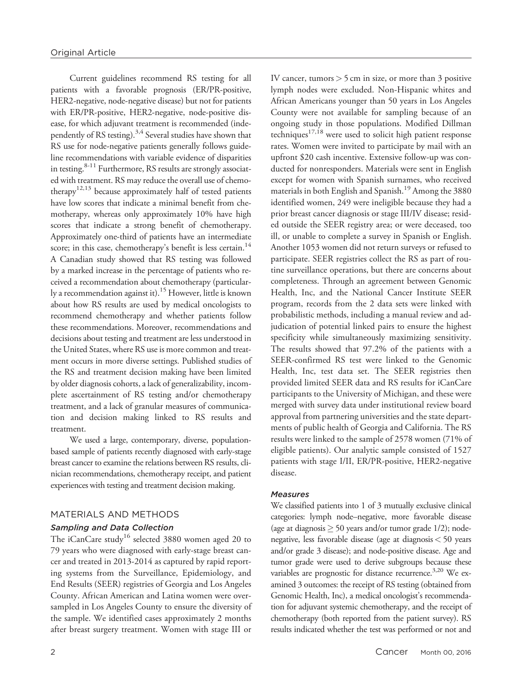Current guidelines recommend RS testing for all patients with a favorable prognosis (ER/PR-positive, HER2-negative, node-negative disease) but not for patients with ER/PR-positive, HER2-negative, node-positive disease, for which adjuvant treatment is recommended (independently of RS testing). $3,4$  Several studies have shown that RS use for node-negative patients generally follows guideline recommendations with variable evidence of disparities in testing.<sup>8-11</sup> Furthermore, RS results are strongly associated with treatment. RS may reduce the overall use of chemotherapy<sup>12,13</sup> because approximately half of tested patients have low scores that indicate a minimal benefit from chemotherapy, whereas only approximately 10% have high scores that indicate a strong benefit of chemotherapy. Approximately one-third of patients have an intermediate score; in this case, chemotherapy's benefit is less certain.<sup>14</sup> A Canadian study showed that RS testing was followed by a marked increase in the percentage of patients who received a recommendation about chemotherapy (particularly a recommendation against it).<sup>15</sup> However, little is known about how RS results are used by medical oncologists to recommend chemotherapy and whether patients follow these recommendations. Moreover, recommendations and decisions about testing and treatment are less understood in the United States, where RS use is more common and treatment occurs in more diverse settings. Published studies of the RS and treatment decision making have been limited by older diagnosis cohorts, a lack of generalizability, incomplete ascertainment of RS testing and/or chemotherapy treatment, and a lack of granular measures of communication and decision making linked to RS results and treatment.

We used a large, contemporary, diverse, populationbased sample of patients recently diagnosed with early-stage breast cancer to examine the relations between RS results, clinician recommendations, chemotherapy receipt, and patient experiences with testing and treatment decision making.

## MATERIALS AND METHODS

## Sampling and Data Collection

The iCanCare study<sup>16</sup> selected 3880 women aged 20 to 79 years who were diagnosed with early-stage breast cancer and treated in 2013-2014 as captured by rapid reporting systems from the Surveillance, Epidemiology, and End Results (SEER) registries of Georgia and Los Angeles County. African American and Latina women were oversampled in Los Angeles County to ensure the diversity of the sample. We identified cases approximately 2 months after breast surgery treatment. Women with stage III or

IV cancer, tumors  $> 5$  cm in size, or more than 3 positive lymph nodes were excluded. Non-Hispanic whites and African Americans younger than 50 years in Los Angeles County were not available for sampling because of an ongoing study in those populations. Modified Dillman techniques<sup>17,18</sup> were used to solicit high patient response rates. Women were invited to participate by mail with an upfront \$20 cash incentive. Extensive follow-up was conducted for nonresponders. Materials were sent in English except for women with Spanish surnames, who received materials in both English and Spanish.<sup>19</sup> Among the 3880 identified women, 249 were ineligible because they had a prior breast cancer diagnosis or stage III/IV disease; resided outside the SEER registry area; or were deceased, too ill, or unable to complete a survey in Spanish or English. Another 1053 women did not return surveys or refused to participate. SEER registries collect the RS as part of routine surveillance operations, but there are concerns about completeness. Through an agreement between Genomic Health, Inc, and the National Cancer Institute SEER program, records from the 2 data sets were linked with probabilistic methods, including a manual review and adjudication of potential linked pairs to ensure the highest specificity while simultaneously maximizing sensitivity. The results showed that 97.2% of the patients with a SEER-confirmed RS test were linked to the Genomic Health, Inc, test data set. The SEER registries then provided limited SEER data and RS results for iCanCare participants to the University of Michigan, and these were merged with survey data under institutional review board approval from partnering universities and the state departments of public health of Georgia and California. The RS results were linked to the sample of 2578 women (71% of eligible patients). Our analytic sample consisted of 1527 patients with stage I/II, ER/PR-positive, HER2-negative disease.

#### **Measures**

We classified patients into 1 of 3 mutually exclusive clinical categories: lymph node–negative, more favorable disease (age at diagnosis  $\geq$  50 years and/or tumor grade 1/2); nodenegative, less favorable disease (age at diagnosis< 50 years and/or grade 3 disease); and node-positive disease. Age and tumor grade were used to derive subgroups because these variables are prognostic for distance recurrence.<sup>3,20</sup> We examined 3 outcomes: the receipt of RS testing (obtained from Genomic Health, Inc), a medical oncologist's recommendation for adjuvant systemic chemotherapy, and the receipt of chemotherapy (both reported from the patient survey). RS results indicated whether the test was performed or not and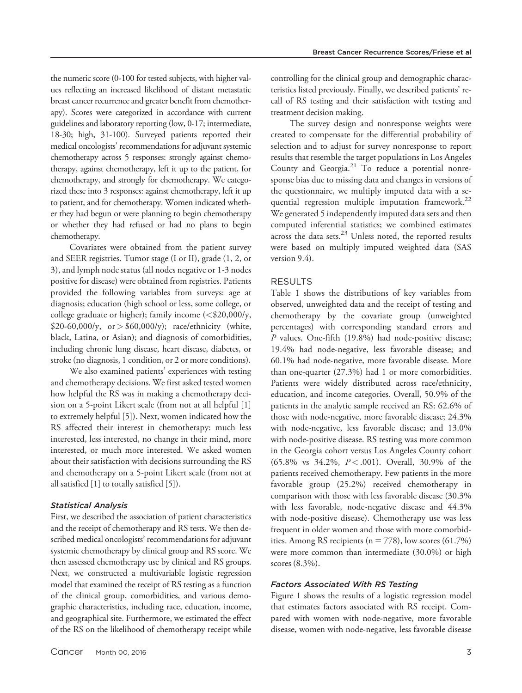the numeric score (0-100 for tested subjects, with higher values reflecting an increased likelihood of distant metastatic breast cancer recurrence and greater benefit from chemotherapy). Scores were categorized in accordance with current guidelines and laboratory reporting (low, 0-17; intermediate, 18-30; high, 31-100). Surveyed patients reported their medical oncologists' recommendations for adjuvant systemic chemotherapy across 5 responses: strongly against chemotherapy, against chemotherapy, left it up to the patient, for chemotherapy, and strongly for chemotherapy. We categorized these into 3 responses: against chemotherapy, left it up to patient, and for chemotherapy. Women indicated whether they had begun or were planning to begin chemotherapy or whether they had refused or had no plans to begin chemotherapy.

Covariates were obtained from the patient survey and SEER registries. Tumor stage (I or II), grade (1, 2, or 3), and lymph node status (all nodes negative or 1-3 nodes positive for disease) were obtained from registries. Patients provided the following variables from surveys: age at diagnosis; education (high school or less, some college, or college graduate or higher); family income (<\$20,000/y,  $$20-60,000/y, or > $60,000/y$; race/ethnicity (white,$ black, Latina, or Asian); and diagnosis of comorbidities, including chronic lung disease, heart disease, diabetes, or stroke (no diagnosis, 1 condition, or 2 or more conditions).

We also examined patients' experiences with testing and chemotherapy decisions. We first asked tested women how helpful the RS was in making a chemotherapy decision on a 5-point Likert scale (from not at all helpful [1] to extremely helpful [5]). Next, women indicated how the RS affected their interest in chemotherapy: much less interested, less interested, no change in their mind, more interested, or much more interested. We asked women about their satisfaction with decisions surrounding the RS and chemotherapy on a 5-point Likert scale (from not at all satisfied [1] to totally satisfied [5]).

#### Statistical Analysis

First, we described the association of patient characteristics and the receipt of chemotherapy and RS tests. We then described medical oncologists' recommendations for adjuvant systemic chemotherapy by clinical group and RS score. We then assessed chemotherapy use by clinical and RS groups. Next, we constructed a multivariable logistic regression model that examined the receipt of RS testing as a function of the clinical group, comorbidities, and various demographic characteristics, including race, education, income, and geographical site. Furthermore, we estimated the effect of the RS on the likelihood of chemotherapy receipt while controlling for the clinical group and demographic characteristics listed previously. Finally, we described patients' recall of RS testing and their satisfaction with testing and treatment decision making.

The survey design and nonresponse weights were created to compensate for the differential probability of selection and to adjust for survey nonresponse to report results that resemble the target populations in Los Angeles County and Georgia. $21$  To reduce a potential nonresponse bias due to missing data and changes in versions of the questionnaire, we multiply imputed data with a sequential regression multiple imputation framework.<sup>22</sup> We generated 5 independently imputed data sets and then computed inferential statistics; we combined estimates across the data sets. $^{23}$  Unless noted, the reported results were based on multiply imputed weighted data (SAS version 9.4).

## RESULTS

Table 1 shows the distributions of key variables from observed, unweighted data and the receipt of testing and chemotherapy by the covariate group (unweighted percentages) with corresponding standard errors and P values. One-fifth (19.8%) had node-positive disease; 19.4% had node-negative, less favorable disease; and 60.1% had node-negative, more favorable disease. More than one-quarter (27.3%) had 1 or more comorbidities. Patients were widely distributed across race/ethnicity, education, and income categories. Overall, 50.9% of the patients in the analytic sample received an RS: 62.6% of those with node-negative, more favorable disease; 24.3% with node-negative, less favorable disease; and 13.0% with node-positive disease. RS testing was more common in the Georgia cohort versus Los Angeles County cohort (65.8% vs 34.2%,  $P < .001$ ). Overall, 30.9% of the patients received chemotherapy. Few patients in the more favorable group (25.2%) received chemotherapy in comparison with those with less favorable disease (30.3% with less favorable, node-negative disease and 44.3% with node-positive disease). Chemotherapy use was less frequent in older women and those with more comorbidities. Among RS recipients ( $n = 778$ ), low scores (61.7%) were more common than intermediate (30.0%) or high scores (8.3%).

#### Factors Associated With RS Testing

Figure 1 shows the results of a logistic regression model that estimates factors associated with RS receipt. Compared with women with node-negative, more favorable disease, women with node-negative, less favorable disease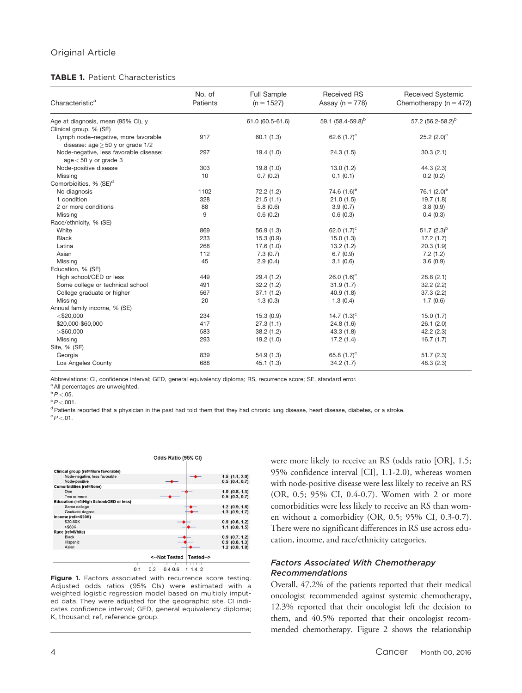#### TABLE 1. Patient Characteristics

| Characteristic <sup>a</sup>                                                  | No. of<br><b>Patients</b> | <b>Full Sample</b><br>$(n = 1527)$ | <b>Received RS</b><br>Assay ( $n = 778$ ) | <b>Received Systemic</b><br>Chemotherapy ( $n = 472$ ) |
|------------------------------------------------------------------------------|---------------------------|------------------------------------|-------------------------------------------|--------------------------------------------------------|
| Age at diagnosis, mean (95% CI), y                                           |                           | 61.0 (60.5-61.6)                   | 59.1 (58.4-59.8) <sup>b</sup>             | 57.2 (56.2-58.2) <sup>b</sup>                          |
| Clinical group, % (SE)                                                       |                           |                                    |                                           |                                                        |
| Lymph node-negative, more favorable<br>disease: age $\geq$ 50 y or grade 1/2 | 917                       | 60.1(1.3)                          | 62.6 $(1.7)^c$                            | 25.2 $(2.0)$ <sup>c</sup>                              |
| Node-negative, less favorable disease:<br>$age < 50$ y or grade 3            | 297                       | 19.4(1.0)                          | 24.3(1.5)                                 | 30.3(2.1)                                              |
| Node-positive disease                                                        | 303                       | 19.8 (1.0)                         | 13.0(1.2)                                 | 44.3(2.3)                                              |
| Missing                                                                      | 10                        | 0.7(0.2)                           | 0.1(0.1)                                  | 0.2(0.2)                                               |
| Comorbidities, % (SE) <sup>d</sup>                                           |                           |                                    |                                           |                                                        |
| No diagnosis                                                                 | 1102                      | 72.2 (1.2)                         | 74.6 $(1.6)^e$                            | 76.1 $(2.0)$ <sup>e</sup>                              |
| 1 condition                                                                  | 328                       | 21.5(1.1)                          | 21.0(1.5)                                 | 19.7(1.8)                                              |
| 2 or more conditions                                                         | 88                        | 5.8(0.6)                           | 3.9(0.7)                                  | 3.8(0.9)                                               |
| Missing                                                                      | 9                         | 0.6(0.2)                           | 0.6(0.3)                                  | 0.4(0.3)                                               |
| Race/ethnicity, % (SE)                                                       |                           |                                    |                                           |                                                        |
| White                                                                        | 869                       | 56.9(1.3)                          | 62.0 $(1.7)^c$                            | 51.7 $(2.3)^{b}$                                       |
| <b>Black</b>                                                                 | 233                       | 15.3(0.9)                          | 15.0(1.3)                                 | 17.2(1.7)                                              |
| Latina                                                                       | 268                       | 17.6(1.0)                          | 13.2(1.2)                                 | 20.3(1.9)                                              |
| Asian                                                                        | 112                       | 7.3(0.7)                           | 6.7(0.9)                                  | 7.2(1.2)                                               |
| Missing                                                                      | 45                        | 2.9(0.4)                           | 3.1(0.6)                                  | 3.6(0.9)                                               |
| Education, % (SE)                                                            |                           |                                    |                                           |                                                        |
| High school/GED or less                                                      | 449                       | 29.4 (1.2)                         | 26.0 $(1.6)^c$                            | 28.8(2.1)                                              |
| Some college or technical school                                             | 491                       | 32.2(1.2)                          | 31.9(1.7)                                 | 32.2(2.2)                                              |
| College graduate or higher                                                   | 567                       | 37.1(1.2)                          | 40.9(1.8)                                 | 37.3(2.2)                                              |
| Missing                                                                      | 20                        | 1.3(0.3)                           | 1.3(0.4)                                  | 1.7(0.6)                                               |
| Annual family income, % (SE)                                                 |                           |                                    |                                           |                                                        |
| $<$ \$20,000                                                                 | 234                       | 15.3(0.9)                          | 14.7 $(1.3)^{\circ}$                      | 15.0(1.7)                                              |
| \$20,000-\$60,000                                                            | 417                       | 27.3(1.1)                          | 24.8(1.6)                                 | 26.1(2.0)                                              |
| > \$60,000                                                                   | 583                       | 38.2(1.2)                          | 43.3(1.8)                                 | 42.2(2.3)                                              |
| Missing                                                                      | 293                       | 19.2 (1.0)                         | 17.2(1.4)                                 | 16.7(1.7)                                              |
| Site, % (SE)                                                                 |                           |                                    |                                           |                                                        |
| Georgia                                                                      | 839                       | 54.9(1.3)                          | 65.8 $(1.7)^c$                            | 51.7(2.3)                                              |
| Los Angeles County                                                           | 688                       | 45.1(1.3)                          | 34.2(1.7)                                 | 48.3(2.3)                                              |

Abbreviations: CI, confidence interval; GED, general equivalency diploma; RS, recurrence score; SE, standard error.

a All percentages are unweighted.

 $b$   $P < 0.05$ .

 $\degree P$  <.001.

d Patients reported that a physician in the past had told them that they had chronic lung disease, heart disease, diabetes, or a stroke.

 $e^e P < 01$ .



Figure 1. Factors associated with recurrence score testing. Adjusted odds ratios (95% CIs) were estimated with a weighted logistic regression model based on multiply imputed data. They were adjusted for the geographic site. CI indicates confidence interval; GED, general equivalency diploma; K, thousand; ref, reference group.

were more likely to receive an RS (odds ratio [OR], 1.5; 95% confidence interval [CI], 1.1-2.0), whereas women with node-positive disease were less likely to receive an RS (OR, 0.5; 95% CI, 0.4-0.7). Women with 2 or more comorbidities were less likely to receive an RS than women without a comorbidity (OR, 0.5; 95% CI, 0.3-0.7). There were no significant differences in RS use across education, income, and race/ethnicity categories.

### Factors Associated With Chemotherapy Recommendations

Overall, 47.2% of the patients reported that their medical oncologist recommended against systemic chemotherapy, 12.3% reported that their oncologist left the decision to them, and 40.5% reported that their oncologist recommended chemotherapy. Figure 2 shows the relationship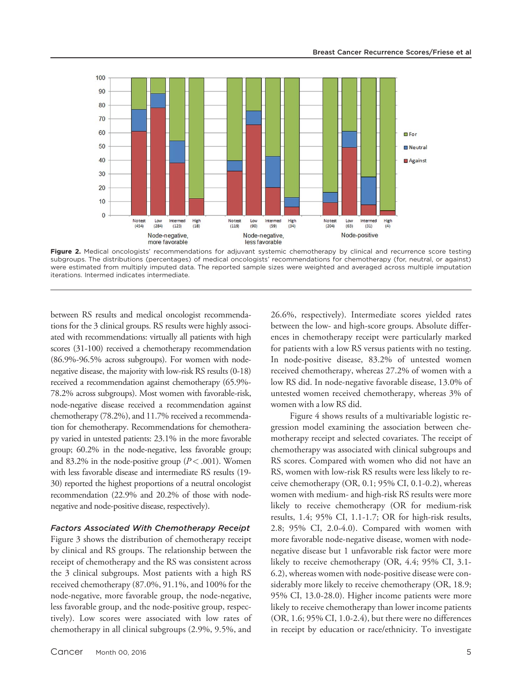

Figure 2. Medical oncologists' recommendations for adjuvant systemic chemotherapy by clinical and recurrence score testing subgroups. The distributions (percentages) of medical oncologists' recommendations for chemotherapy (for, neutral, or against) were estimated from multiply imputed data. The reported sample sizes were weighted and averaged across multiple imputation iterations. Intermed indicates intermediate.

between RS results and medical oncologist recommendations for the 3 clinical groups. RS results were highly associated with recommendations: virtually all patients with high scores (31-100) received a chemotherapy recommendation (86.9%-96.5% across subgroups). For women with nodenegative disease, the majority with low-risk RS results (0-18) received a recommendation against chemotherapy (65.9%- 78.2% across subgroups). Most women with favorable-risk, node-negative disease received a recommendation against chemotherapy (78.2%), and 11.7% received a recommendation for chemotherapy. Recommendations for chemotherapy varied in untested patients: 23.1% in the more favorable group; 60.2% in the node-negative, less favorable group; and 83.2% in the node-positive group  $(P < .001)$ . Women with less favorable disease and intermediate RS results (19- 30) reported the highest proportions of a neutral oncologist recommendation (22.9% and 20.2% of those with nodenegative and node-positive disease, respectively).

#### Factors Associated With Chemotherapy Receipt

Figure 3 shows the distribution of chemotherapy receipt by clinical and RS groups. The relationship between the receipt of chemotherapy and the RS was consistent across the 3 clinical subgroups. Most patients with a high RS received chemotherapy (87.0%, 91.1%, and 100% for the node-negative, more favorable group, the node-negative, less favorable group, and the node-positive group, respectively). Low scores were associated with low rates of chemotherapy in all clinical subgroups (2.9%, 9.5%, and 26.6%, respectively). Intermediate scores yielded rates between the low- and high-score groups. Absolute differences in chemotherapy receipt were particularly marked for patients with a low RS versus patients with no testing. In node-positive disease, 83.2% of untested women received chemotherapy, whereas 27.2% of women with a low RS did. In node-negative favorable disease, 13.0% of untested women received chemotherapy, whereas 3% of women with a low RS did.

Figure 4 shows results of a multivariable logistic regression model examining the association between chemotherapy receipt and selected covariates. The receipt of chemotherapy was associated with clinical subgroups and RS scores. Compared with women who did not have an RS, women with low-risk RS results were less likely to receive chemotherapy (OR, 0.1; 95% CI, 0.1-0.2), whereas women with medium- and high-risk RS results were more likely to receive chemotherapy (OR for medium-risk results, 1.4; 95% CI, 1.1-1.7; OR for high-risk results, 2.8; 95% CI, 2.0-4.0). Compared with women with more favorable node-negative disease, women with nodenegative disease but 1 unfavorable risk factor were more likely to receive chemotherapy (OR, 4.4; 95% CI, 3.1- 6.2), whereas women with node-positive disease were considerably more likely to receive chemotherapy (OR, 18.9; 95% CI, 13.0-28.0). Higher income patients were more likely to receive chemotherapy than lower income patients (OR, 1.6; 95% CI, 1.0-2.4), but there were no differences in receipt by education or race/ethnicity. To investigate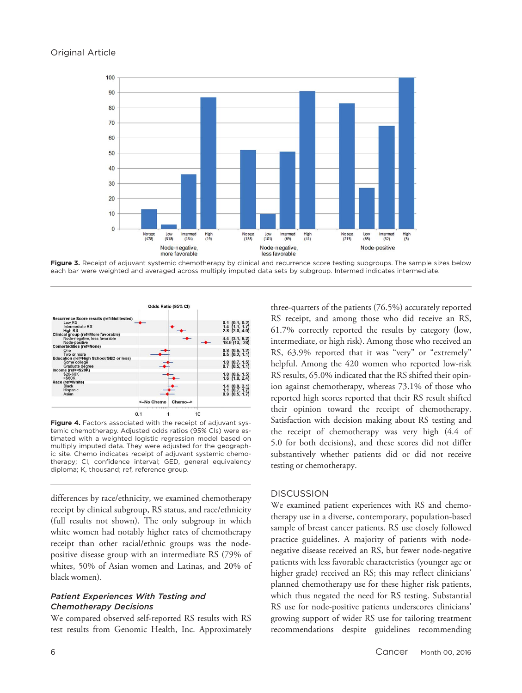

Figure 3. Receipt of adjuvant systemic chemotherapy by clinical and recurrence score testing subgroups. The sample sizes below each bar were weighted and averaged across multiply imputed data sets by subgroup. Intermed indicates intermediate.



Figure 4. Factors associated with the receipt of adjuvant systemic chemotherapy. Adjusted odds ratios (95% CIs) were estimated with a weighted logistic regression model based on multiply imputed data. They were adjusted for the geographic site. Chemo indicates receipt of adjuvant systemic chemotherapy; CI, confidence interval; GED, general equivalency diploma; K, thousand; ref, reference group.

differences by race/ethnicity, we examined chemotherapy receipt by clinical subgroup, RS status, and race/ethnicity (full results not shown). The only subgroup in which white women had notably higher rates of chemotherapy receipt than other racial/ethnic groups was the nodepositive disease group with an intermediate RS (79% of whites, 50% of Asian women and Latinas, and 20% of black women).

## Patient Experiences With Testing and Chemotherapy Decisions

We compared observed self-reported RS results with RS test results from Genomic Health, Inc. Approximately

three-quarters of the patients (76.5%) accurately reported RS receipt, and among those who did receive an RS, 61.7% correctly reported the results by category (low, intermediate, or high risk). Among those who received an RS, 63.9% reported that it was "very" or "extremely" helpful. Among the 420 women who reported low-risk RS results, 65.0% indicated that the RS shifted their opinion against chemotherapy, whereas 73.1% of those who reported high scores reported that their RS result shifted their opinion toward the receipt of chemotherapy. Satisfaction with decision making about RS testing and the receipt of chemotherapy was very high (4.4 of 5.0 for both decisions), and these scores did not differ substantively whether patients did or did not receive testing or chemotherapy.

## **DISCUSSION**

We examined patient experiences with RS and chemotherapy use in a diverse, contemporary, population-based sample of breast cancer patients. RS use closely followed practice guidelines. A majority of patients with nodenegative disease received an RS, but fewer node-negative patients with less favorable characteristics (younger age or higher grade) received an RS; this may reflect clinicians' planned chemotherapy use for these higher risk patients, which thus negated the need for RS testing. Substantial RS use for node-positive patients underscores clinicians' growing support of wider RS use for tailoring treatment recommendations despite guidelines recommending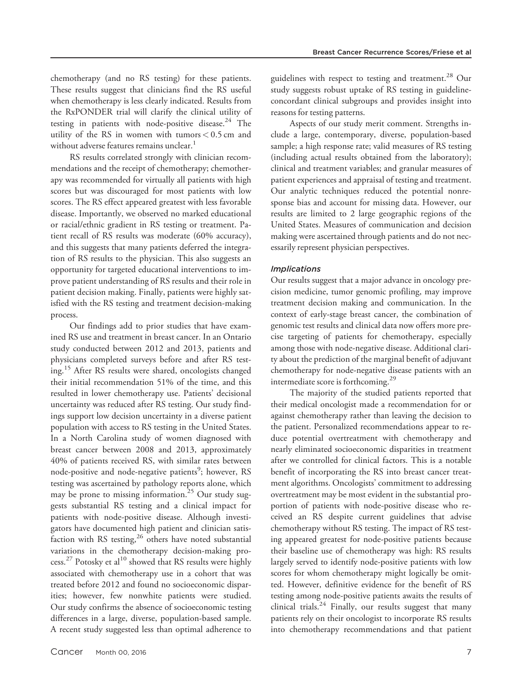chemotherapy (and no RS testing) for these patients. These results suggest that clinicians find the RS useful when chemotherapy is less clearly indicated. Results from the RxPONDER trial will clarify the clinical utility of testing in patients with node-positive disease. $24$  The utility of the RS in women with tumors  $< 0.5$  cm and without adverse features remains unclear. $^{\mathrm{1}}$ 

RS results correlated strongly with clinician recommendations and the receipt of chemotherapy; chemotherapy was recommended for virtually all patients with high scores but was discouraged for most patients with low scores. The RS effect appeared greatest with less favorable disease. Importantly, we observed no marked educational or racial/ethnic gradient in RS testing or treatment. Patient recall of RS results was moderate (60% accuracy), and this suggests that many patients deferred the integration of RS results to the physician. This also suggests an opportunity for targeted educational interventions to improve patient understanding of RS results and their role in patient decision making. Finally, patients were highly satisfied with the RS testing and treatment decision-making process.

Our findings add to prior studies that have examined RS use and treatment in breast cancer. In an Ontario study conducted between 2012 and 2013, patients and physicians completed surveys before and after RS testing.<sup>15</sup> After RS results were shared, oncologists changed their initial recommendation 51% of the time, and this resulted in lower chemotherapy use. Patients' decisional uncertainty was reduced after RS testing. Our study findings support low decision uncertainty in a diverse patient population with access to RS testing in the United States. In a North Carolina study of women diagnosed with breast cancer between 2008 and 2013, approximately 40% of patients received RS, with similar rates between node-positive and node-negative patients<sup>9</sup>; however, RS testing was ascertained by pathology reports alone, which may be prone to missing information.<sup>25</sup> Our study suggests substantial RS testing and a clinical impact for patients with node-positive disease. Although investigators have documented high patient and clinician satisfaction with RS testing, $26$  others have noted substantial variations in the chemotherapy decision-making process.<sup>27</sup> Potosky et al<sup>10</sup> showed that RS results were highly associated with chemotherapy use in a cohort that was treated before 2012 and found no socioeconomic disparities; however, few nonwhite patients were studied. Our study confirms the absence of socioeconomic testing differences in a large, diverse, population-based sample. A recent study suggested less than optimal adherence to guidelines with respect to testing and treatment.<sup>28</sup> Our study suggests robust uptake of RS testing in guidelineconcordant clinical subgroups and provides insight into reasons for testing patterns.

Aspects of our study merit comment. Strengths include a large, contemporary, diverse, population-based sample; a high response rate; valid measures of RS testing (including actual results obtained from the laboratory); clinical and treatment variables; and granular measures of patient experiences and appraisal of testing and treatment. Our analytic techniques reduced the potential nonresponse bias and account for missing data. However, our results are limited to 2 large geographic regions of the United States. Measures of communication and decision making were ascertained through patients and do not necessarily represent physician perspectives.

## Implications

Our results suggest that a major advance in oncology precision medicine, tumor genomic profiling, may improve treatment decision making and communication. In the context of early-stage breast cancer, the combination of genomic test results and clinical data now offers more precise targeting of patients for chemotherapy, especially among those with node-negative disease. Additional clarity about the prediction of the marginal benefit of adjuvant chemotherapy for node-negative disease patients with an intermediate score is forthcoming.<sup>29</sup>

The majority of the studied patients reported that their medical oncologist made a recommendation for or against chemotherapy rather than leaving the decision to the patient. Personalized recommendations appear to reduce potential overtreatment with chemotherapy and nearly eliminated socioeconomic disparities in treatment after we controlled for clinical factors. This is a notable benefit of incorporating the RS into breast cancer treatment algorithms. Oncologists' commitment to addressing overtreatment may be most evident in the substantial proportion of patients with node-positive disease who received an RS despite current guidelines that advise chemotherapy without RS testing. The impact of RS testing appeared greatest for node-positive patients because their baseline use of chemotherapy was high: RS results largely served to identify node-positive patients with low scores for whom chemotherapy might logically be omitted. However, definitive evidence for the benefit of RS testing among node-positive patients awaits the results of clinical trials.<sup>24</sup> Finally, our results suggest that many patients rely on their oncologist to incorporate RS results into chemotherapy recommendations and that patient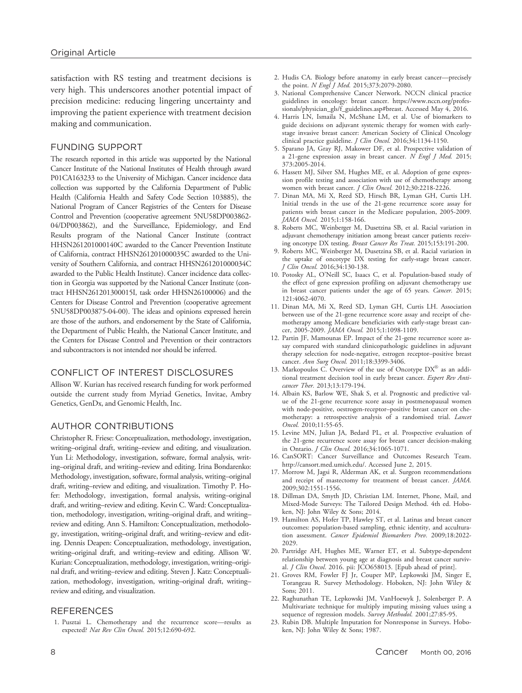satisfaction with RS testing and treatment decisions is very high. This underscores another potential impact of precision medicine: reducing lingering uncertainty and improving the patient experience with treatment decision making and communication.

#### FUNDING SUPPORT

The research reported in this article was supported by the National Cancer Institute of the National Institutes of Health through award P01CA163233 to the University of Michigan. Cancer incidence data collection was supported by the California Department of Public Health (California Health and Safety Code Section 103885), the National Program of Cancer Registries of the Centers for Disease Control and Prevention (cooperative agreement 5NU58DP003862- 04/DP003862), and the Surveillance, Epidemiology, and End Results program of the National Cancer Institute (contract HHSN261201000140C awarded to the Cancer Prevention Institute of California, contract HHSN261201000035C awarded to the University of Southern California, and contract HHSN261201000034C awarded to the Public Health Institute). Cancer incidence data collection in Georgia was supported by the National Cancer Institute (contract HHSN261201300015I, task order HHSN26100006) and the Centers for Disease Control and Prevention (cooperative agreement 5NU58DP003875-04-00). The ideas and opinions expressed herein are those of the authors, and endorsement by the State of California, the Department of Public Health, the National Cancer Institute, and the Centers for Disease Control and Prevention or their contractors and subcontractors is not intended nor should be inferred.

## CONFLICT OF INTEREST DISCLOSURES

Allison W. Kurian has received research funding for work performed outside the current study from Myriad Genetics, Invitae, Ambry Genetics, GenDx, and Genomic Health, Inc.

#### AUTHOR CONTRIBUTIONS

Christopher R. Friese: Conceptualization, methodology, investigation, writing–original draft, writing–review and editing, and visualization. Yun Li: Methodology, investigation, software, formal analysis, writing–original draft, and writing–review and editing. Irina Bondarenko: Methodology, investigation, software, formal analysis, writing–original draft, writing–review and editing, and visualization. Timothy P. Hofer: Methodology, investigation, formal analysis, writing–original draft, and writing–review and editing. Kevin C. Ward: Conceptualization, methodology, investigation, writing–original draft, and writing– review and editing. Ann S. Hamilton: Conceptualization, methodology, investigation, writing–original draft, and writing–review and editing. Dennis Deapen: Conceptualization, methodology, investigation, writing–original draft, and writing–review and editing. Allison W. Kurian: Conceptualization, methodology, investigation, writing–original draft, and writing–review and editing. Steven J. Katz: Conceptualization, methodology, investigation, writing–original draft, writing– review and editing, and visualization.

#### **REFERENCES**

1. Pusztai L. Chemotherapy and the recurrence score—results as expected? Nat Rev Clin Oncol. 2015;12:690-692.

- 2. Hudis CA. Biology before anatomy in early breast cancer—precisely the point. N Engl J Med. 2015;373:2079-2080.
- 3. National Comprehensive Cancer Network. NCCN clinical practice guidelines in oncology: breast cancer. [https://www.nccn.org/profes](https://www.nccn.org/professionals/physician_gls/f_guidelines.asp#breast)[sionals/physician\\_gls/f\\_guidelines.asp#breast.](https://www.nccn.org/professionals/physician_gls/f_guidelines.asp#breast) Accessed May 4, 2016.
- 4. Harris LN, Ismaila N, McShane LM, et al. Use of biomarkers to guide decisions on adjuvant systemic therapy for women with earlystage invasive breast cancer: American Society of Clinical Oncology clinical practice guideline. *J Clin Oncol.* 2016;34:1134-1150.
- 5. Sparano JA, Gray RJ, Makower DF, et al. Prospective validation of a 21-gene expression assay in breast cancer. N Engl J Med. 2015; 373:2005-2014.
- 6. Hassett MJ, Silver SM, Hughes ME, et al. Adoption of gene expression profile testing and association with use of chemotherapy among women with breast cancer. J Clin Oncol. 2012;30:2218-2226.
- 7. Dinan MA, Mi X, Reed SD, Hirsch BR, Lyman GH, Curtis LH. Initial trends in the use of the 21-gene recurrence score assay for patients with breast cancer in the Medicare population, 2005-2009. JAMA Oncol. 2015;1:158-166.
- 8. Roberts MC, Weinberger M, Dusetzina SB, et al. Racial variation in adjuvant chemotherapy initiation among breast cancer patients receiving oncotype DX testing. Breast Cancer Res Treat. 2015;153:191-200.
- Roberts MC, Weinberger M, Dusetzina SB, et al. Racial variation in the uptake of oncotype DX testing for early-stage breast cancer. J Clin Oncol. 2016;34:130-138.
- 10. Potosky AL, O'Neill SC, Isaacs C, et al. Population-based study of the effect of gene expression profiling on adjuvant chemotherapy use in breast cancer patients under the age of 65 years. Cancer. 2015; 121:4062-4070.
- 11. Dinan MA, Mi X, Reed SD, Lyman GH, Curtis LH. Association between use of the 21-gene recurrence score assay and receipt of chemotherapy among Medicare beneficiaries with early-stage breast cancer, 2005-2009. JAMA Oncol. 2015;1:1098-1109.
- 12. Partin JF, Mamounas EP. Impact of the 21-gene recurrence score assay compared with standard clinicopathologic guidelines in adjuvant therapy selection for node-negative, estrogen receptor–positive breast cancer. Ann Surg Oncol. 2011;18:3399-3406.
- 13. Markopoulos C. Overview of the use of Oncotype  $DX^{\circledR}$  as an additional treatment decision tool in early breast cancer. Expert Rev Anticancer Ther. 2013;13:179-194.
- 14. Albain KS, Barlow WE, Shak S, et al. Prognostic and predictive value of the 21-gene recurrence score assay in postmenopausal women with node-positive, oestrogen-receptor–positive breast cancer on chemotherapy: a retrospective analysis of a randomised trial. Lancet Oncol. 2010;11:55-65.
- 15. Levine MN, Julian JA, Bedard PL, et al. Prospective evaluation of the 21-gene recurrence score assay for breast cancer decision-making in Ontario. J Clin Oncol. 2016;34:1065-1071.
- 16. CanSORT: Cancer Surveillance and Outcomes Research Team. <http://cansort.med.umich.edu/>. Accessed June 2, 2015.
- 17. Morrow M, Jagsi R, Alderman AK, et al. Surgeon recommendations and receipt of mastectomy for treatment of breast cancer. JAMA. 2009;302:1551-1556.
- 18. Dillman DA, Smyth JD, Christian LM. Internet, Phone, Mail, and Mixed-Mode Surveys: The Tailored Design Method. 4th ed. Hoboken, NJ: John Wiley & Sons; 2014.
- 19. Hamilton AS, Hofer TP, Hawley ST, et al. Latinas and breast cancer outcomes: population-based sampling, ethnic identity, and acculturation assessment. Cancer Epidemiol Biomarkers Prev. 2009;18:2022- 2029.
- 20. Partridge AH, Hughes ME, Warner ET, et al. Subtype-dependent relationship between young age at diagnosis and breast cancer survival. J Clin Oncol. 2016. pii: JCO658013. [Epub ahead of print].
- 21. Groves RM, Fowler FJ Jr, Couper MP, Lepkowski JM, Singer E, Torangeau R. Survey Methodology. Hoboken, NJ: John Wiley & Sons; 2011.
- 22. Raghunathan TE, Lepkowski JM, VanHoewyk J, Solenberger P. A Multivariate technique for multiply imputing missing values using a sequence of regression models. Survey Methodol. 2001;27:85-95.
- 23. Rubin DB. Multiple Imputation for Nonresponse in Surveys. Hoboken, NJ: John Wiley & Sons; 1987.